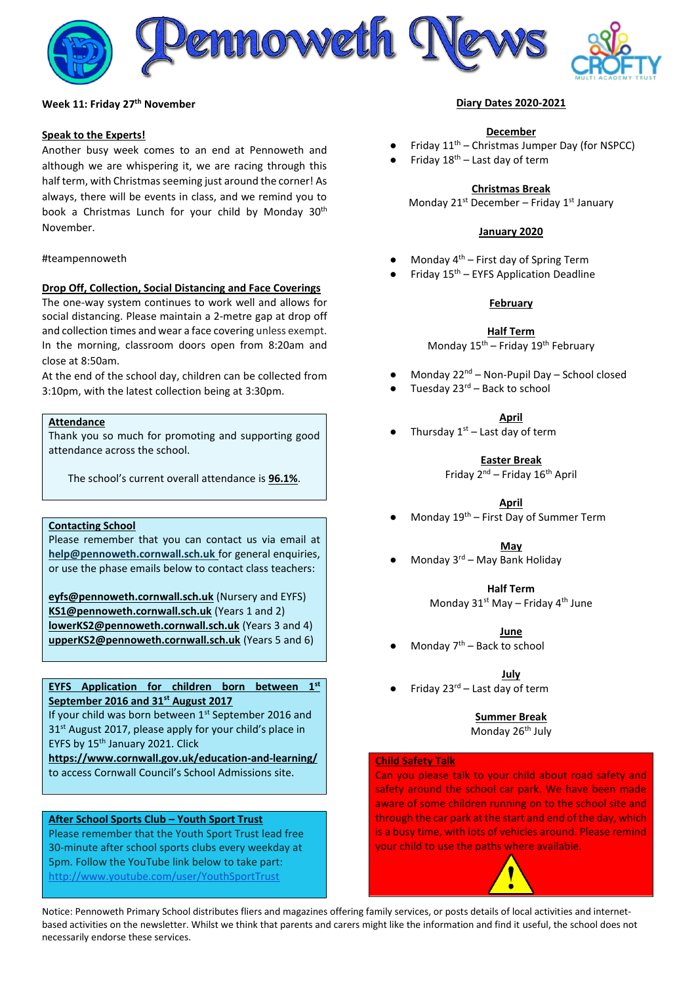

#### **Week 11: Friday 27 th November**

#### **Speak to the Experts!**

Another busy week comes to an end at Pennoweth and although we are whispering it, we are racing through this half term, with Christmas seeming just around the corner! As always, there will be events in class, and we remind you to book a Christmas Lunch for your child by Monday 30<sup>th</sup> November.

#### #teampennoweth

#### **Drop Off, Collection, Social Distancing and Face Coverings**

The one-way system continues to work well and allows for social distancing. Please maintain a 2-metre gap at drop off and collection times and wear a face covering unless exempt. In the morning, classroom doors open from 8:20am and close at 8:50am.

At the end of the school day, children can be collected from 3:10pm, with the latest collection being at 3:30pm.

## **Attendance**

Thank you so much for promoting and supporting good attendance across the school.

The school's current overall attendance is **96.1%**.

# **Contacting School**

Please remember that you can contact us via email at **[help@pennoweth.cornwall.sch.uk](mailto:help@pennoweth.cornwall.sch.uk)** for general enquiries, or use the phase emails below to contact class teachers:

**[eyfs@pennoweth.cornwall.sch.uk](mailto:eyfs@pennoweth.cornwall.sch.uk)** (Nursery and EYFS) **[KS1@pennoweth.cornwall.sch.uk](mailto:KS1@pennoweth.cornwall.sch.uk)** (Years 1 and 2) **[lowerKS2@pennoweth.cornwall.sch.uk](mailto:lowerKS2@pennoweth.cornwall.sch.uk)** (Years 3 and 4) **[upperKS2@pennoweth.cornwall.sch.uk](mailto:upperKS2@pennoweth.cornwall.sch.uk)** (Years 5 and 6)

# **EYFS Application for children born between 1st September 2016 and 31st August 2017**

If your child was born between 1st September 2016 and 31<sup>st</sup> August 2017, please apply for your child's place in EYFS by 15<sup>th</sup> January 2021. Click

**<https://www.cornwall.gov.uk/education-and-learning/>** to access Cornwall Council's School Admissions site.

#### **After School Sports Club – Youth Sport Trust**

Please remember that the Youth Sport Trust lead free 30-minute after school sports clubs every weekday at 5pm. Follow the YouTube link below to take part: <http://www.youtube.com/user/YouthSportTrust>

#### **Diary Dates 2020-2021**

#### **December**

- Friday  $11<sup>th</sup>$  Christmas Jumper Day (for NSPCC)
- Friday  $18<sup>th</sup>$  Last day of term

#### **Christmas Break**

Monday  $21^{st}$  December – Friday  $1^{st}$  January

#### **January 2020**

- Monday  $4<sup>th</sup>$  First day of Spring Term
- Friday  $15<sup>th</sup>$  EYFS Application Deadline

#### **February**

**Half Term**

Monday  $15^{th}$  – Friday  $19^{th}$  February

- Monday 22<sup>nd</sup> Non-Pupil Day School closed
- Tuesday  $23<sup>rd</sup>$  Back to school

**April**

Thursday  $1<sup>st</sup>$  – Last day of term

**Easter Break**

Friday 2<sup>nd</sup> – Friday 16<sup>th</sup> April

#### **April**

Monday  $19<sup>th</sup>$  – First Day of Summer Term

**May**

Monday  $3<sup>rd</sup>$  – May Bank Holiday

**Half Term**

Monday  $31^{st}$  May – Friday  $4^{th}$  June

**June**

Monday  $7<sup>th</sup>$  – Back to school

**July**

Friday  $23^{rd}$  – Last day of term

**Summer Break** Monday 26<sup>th</sup> July

#### **Child Safety Talk**

Can you please talk to your child about road safety and safety around the school car park. We have been made aware of some children running on to the school site and through the car park at the start and end of the day, which is a busy time, with lots of vehicles around. Please remind your child to use the paths where available.

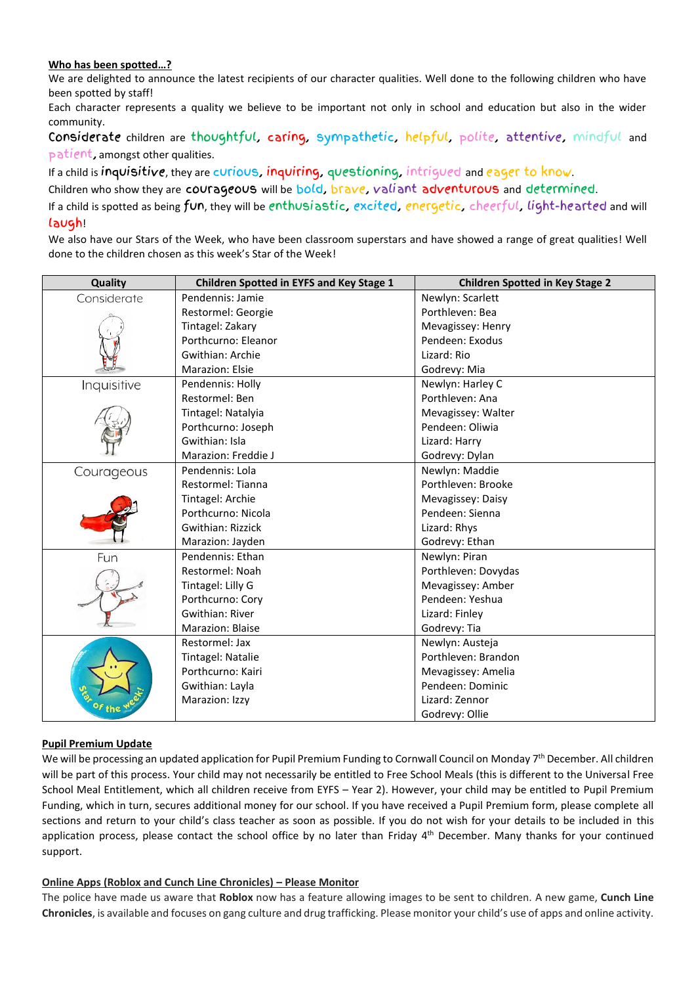# **Who has been spotted…?**

We are delighted to announce the latest recipients of our character qualities. Well done to the following children who have been spotted by staff!

Each character represents a quality we believe to be important not only in school and education but also in the wider community.

Considerate children are thoughtful, caring, sympathetic, helpful, polite, attentive, mindful and patient, amongst other qualities.

If a child is inquisitive, they are curious, inquiring, questioning, intrigued and eager to know.

Children who show they are courageous will be bold, brave, valiant adventurous and determined.

If a child is spotted as being fun, they will be enthusiastic, excited, energetic, cheerful, light-hearted and will laugh!

We also have our Stars of the Week, who have been classroom superstars and have showed a range of great qualities! Well done to the children chosen as this week's Star of the Week!

| Quality     | <b>Children Spotted in EYFS and Key Stage 1</b> | <b>Children Spotted in Key Stage 2</b> |
|-------------|-------------------------------------------------|----------------------------------------|
| Considerate | Pendennis: Jamie                                | Newlyn: Scarlett                       |
|             | Restormel: Georgie                              | Porthleven: Bea                        |
|             | Tintagel: Zakary                                | Mevagissey: Henry                      |
|             | Porthcurno: Eleanor                             | Pendeen: Exodus                        |
|             | Gwithian: Archie                                | Lizard: Rio                            |
|             | Marazion: Elsie                                 | Godrevy: Mia                           |
| Inquisitive | Pendennis: Holly                                | Newlyn: Harley C                       |
|             | Restormel: Ben                                  | Porthleven: Ana                        |
|             | Tintagel: Natalyia                              | Mevagissey: Walter                     |
|             | Porthcurno: Joseph                              | Pendeen: Oliwia                        |
|             | Gwithian: Isla                                  | Lizard: Harry                          |
|             | Marazion: Freddie J                             | Godrevy: Dylan                         |
| Courageous  | Pendennis: Lola                                 | Newlyn: Maddie                         |
|             | Restormel: Tianna                               | Porthleven: Brooke                     |
|             | Tintagel: Archie                                | Mevagissey: Daisy                      |
|             | Porthcurno: Nicola                              | Pendeen: Sienna                        |
|             | <b>Gwithian: Rizzick</b>                        | Lizard: Rhys                           |
|             | Marazion: Jayden                                | Godrevy: Ethan                         |
| Fun         | Pendennis: Ethan                                | Newlyn: Piran                          |
|             | Restormel: Noah                                 | Porthleven: Dovydas                    |
|             | Tintagel: Lilly G                               | Mevagissey: Amber                      |
|             | Porthcurno: Cory                                | Pendeen: Yeshua                        |
|             | Gwithian: River                                 | Lizard: Finley                         |
|             | Marazion: Blaise                                | Godrevy: Tia                           |
|             | Restormel: Jax                                  | Newlyn: Austeja                        |
|             | Tintagel: Natalie                               | Porthleven: Brandon                    |
|             | Porthcurno: Kairi                               | Mevagissey: Amelia                     |
|             | Gwithian: Layla                                 | Pendeen: Dominic                       |
|             | Marazion: Izzy                                  | Lizard: Zennor                         |
|             |                                                 | Godrevy: Ollie                         |

# **Pupil Premium Update**

We will be processing an updated application for Pupil Premium Funding to Cornwall Council on Monday 7<sup>th</sup> December. All children will be part of this process. Your child may not necessarily be entitled to Free School Meals (this is different to the Universal Free School Meal Entitlement, which all children receive from EYFS – Year 2). However, your child may be entitled to Pupil Premium Funding, which in turn, secures additional money for our school. If you have received a Pupil Premium form, please complete all sections and return to your child's class teacher as soon as possible. If you do not wish for your details to be included in this application process, please contact the school office by no later than Friday 4<sup>th</sup> December. Many thanks for your continued support.

## **Online Apps (Roblox and Cunch Line Chronicles) – Please Monitor**

The police have made us aware that **Roblox** now has a feature allowing images to be sent to children. A new game, **Cunch Line Chronicles**, is available and focuses on gang culture and drug trafficking. Please monitor your child's use of apps and online activity.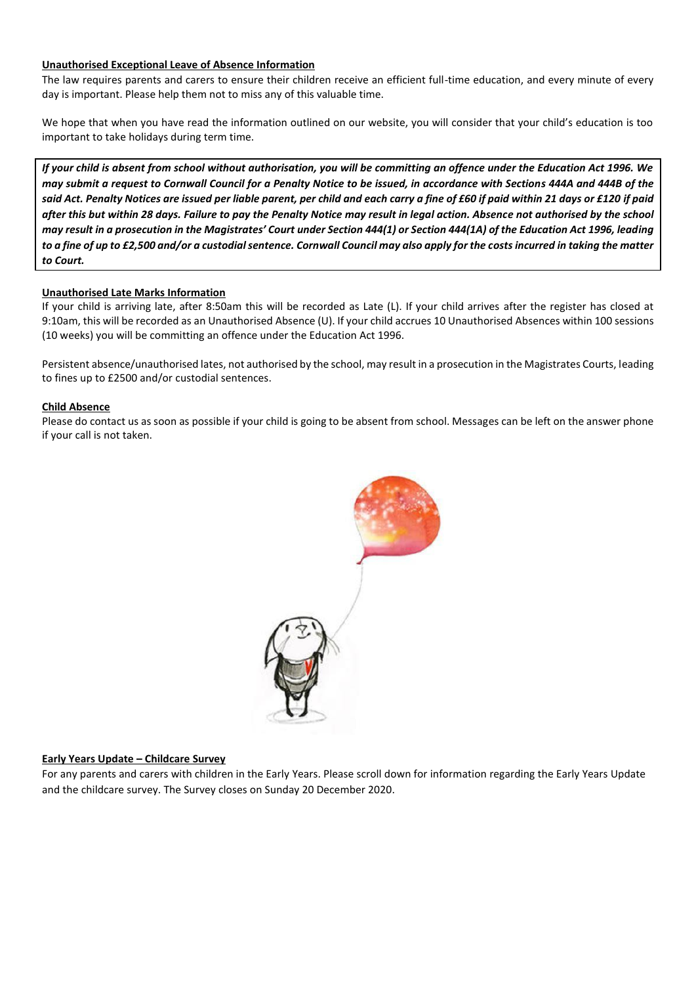# **Unauthorised Exceptional Leave of Absence Information**

The law requires parents and carers to ensure their children receive an efficient full-time education, and every minute of every day is important. Please help them not to miss any of this valuable time.

We hope that when you have read the information outlined on our website, you will consider that your child's education is too important to take holidays during term time.

*If your child is absent from school without authorisation, you will be committing an offence under the Education Act 1996. We may submit a request to Cornwall Council for a Penalty Notice to be issued, in accordance with Sections 444A and 444B of the said Act. Penalty Notices are issued per liable parent, per child and each carry a fine of £60 if paid within 21 days or £120 if paid after this but within 28 days. Failure to pay the Penalty Notice may result in legal action. Absence not authorised by the school may result in a prosecution in the Magistrates' Court under Section 444(1) or Section 444(1A) of the Education Act 1996, leading to a fine of up to £2,500 and/or a custodial sentence. Cornwall Council may also apply for the costs incurred in taking the matter to Court.*

## **Unauthorised Late Marks Information**

If your child is arriving late, after 8:50am this will be recorded as Late (L). If your child arrives after the register has closed at 9:10am, this will be recorded as an Unauthorised Absence (U). If your child accrues 10 Unauthorised Absences within 100 sessions (10 weeks) you will be committing an offence under the Education Act 1996.

Persistent absence/unauthorised lates, not authorised by the school, may result in a prosecution in the Magistrates Courts, leading to fines up to £2500 and/or custodial sentences.

## **Child Absence**

Please do contact us as soon as possible if your child is going to be absent from school. Messages can be left on the answer phone if your call is not taken.



## **Early Years Update – Childcare Survey**

For any parents and carers with children in the Early Years. Please scroll down for information regarding the Early Years Update and the childcare survey. The Survey closes on Sunday 20 December 2020.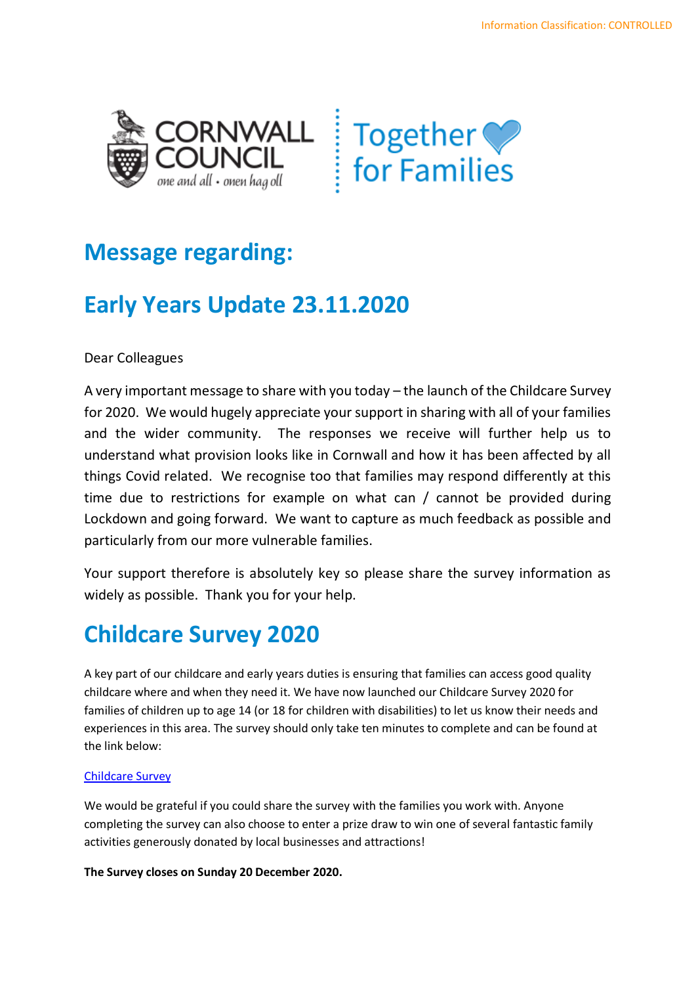

# **Message regarding:**

# **Early Years Update 23.11.2020**

Dear Colleagues

A very important message to share with you today – the launch of the Childcare Survey for 2020. We would hugely appreciate your support in sharing with all of your families and the wider community. The responses we receive will further help us to understand what provision looks like in Cornwall and how it has been affected by all things Covid related. We recognise too that families may respond differently at this time due to restrictions for example on what can / cannot be provided during Lockdown and going forward. We want to capture as much feedback as possible and particularly from our more vulnerable families.

Your support therefore is absolutely key so please share the survey information as widely as possible. Thank you for your help.

# **Childcare Survey 2020**

A key part of our childcare and early years duties is ensuring that families can access good quality childcare where and when they need it. We have now launched our Childcare Survey 2020 for families of children up to age 14 (or 18 for children with disabilities) to let us know their needs and experiences in this area. The survey should only take ten minutes to complete and can be found at the link below:

# [Childcare Survey](https://www.cornwall.gov.uk/education-and-learning/early-years-foundation-stage-eyfs-and-childcare/childcare-sufficiency/)

We would be grateful if you could share the survey with the families you work with. Anyone completing the survey can also choose to enter a prize draw to win one of several fantastic family activities generously donated by local businesses and attractions!

**The Survey closes on Sunday 20 December 2020.**